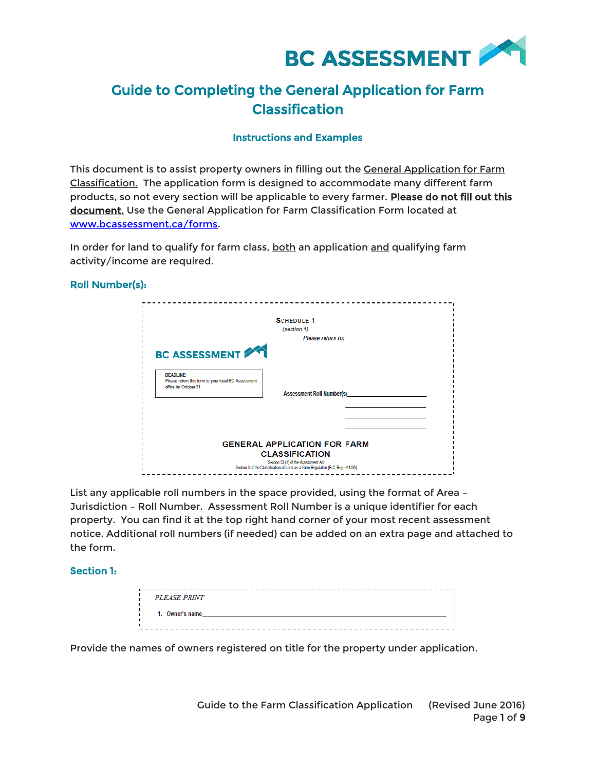

# Guide to Completing the General Application for Farm Classification

# Instructions and Examples

This document is to assist property owners in filling out the **General Application for Farm** Classification. The application form is designed to accommodate many different farm products, so not every section will be applicable to every farmer. Please do not fill out this document. Use the General Application for Farm Classification Form located at [www.bcassessment.ca/forms.](http://www.bcassessment.ca/forms)

In order for land to qualify for farm class, both an application and qualifying farm activity/income are required.

## Roll Number(s):

|                                                                                                                              | <b>SCHEDULE 1</b>                                                                                                                                                                       |
|------------------------------------------------------------------------------------------------------------------------------|-----------------------------------------------------------------------------------------------------------------------------------------------------------------------------------------|
|                                                                                                                              | (section 1)                                                                                                                                                                             |
|                                                                                                                              | Please return to:                                                                                                                                                                       |
| <b>BC ASSESSMENT 241</b><br><b>DEADLINE:</b><br>Please return this form to your local BC Assessment<br>office by October 31. | <b>Assessment Roll Number(s)</b>                                                                                                                                                        |
|                                                                                                                              | <b>GENERAL APPLICATION FOR FARM</b><br><b>CLASSIFICATION</b><br>Section 23 (1) of the Assessment Act<br>Section 3 of the Classification of Land as a Farm Regulation (B.C. Reg. 411/95) |

List any applicable roll numbers in the space provided, using the format of Area – Jurisdiction – Roll Number. Assessment Roll Number is a unique identifier for each property. You can find it at the top right hand corner of your most recent assessment notice. Additional roll numbers (if needed) can be added on an extra page and attached to the form.

## Section 1:

| <i>PLEASE PRINT</i> |  |  |
|---------------------|--|--|
| 1. Owner's name     |  |  |
|                     |  |  |

Provide the names of owners registered on title for the property under application.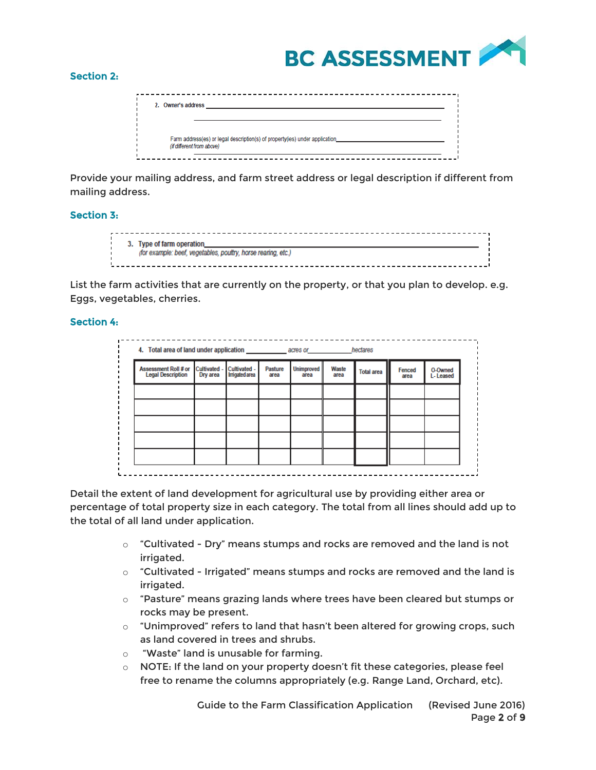

### Section 2:

| 2. Owner's address                                                                                       |  |
|----------------------------------------------------------------------------------------------------------|--|
| Farm address(es) or legal description(s) of property(ies) under application<br>(if different from above) |  |

Provide your mailing address, and farm street address or legal description if different from mailing address.

# Section 3:

| 3. Type of farm operation_                                    |
|---------------------------------------------------------------|
| (for example: beef, vegetables, poultry, horse rearing, etc.) |
|                                                               |

List the farm activities that are currently on the property, or that you plan to develop. e.g. Eggs, vegetables, cherries.

# Section 4:

| Assessment Roll # or Cultivated -<br><b>Legal Description</b> | Dry area | Cultivated -<br><b>Irrigated area</b> | <b>Pasture</b><br>area | <b>Unimproved</b><br>area | Waste<br>area | <b>Total area</b> | Fenced<br>area | O-Owned<br>L-Leased |
|---------------------------------------------------------------|----------|---------------------------------------|------------------------|---------------------------|---------------|-------------------|----------------|---------------------|
|                                                               |          |                                       |                        |                           |               |                   |                |                     |
|                                                               |          |                                       |                        |                           |               |                   |                |                     |
|                                                               |          |                                       |                        |                           |               |                   |                |                     |
|                                                               |          |                                       |                        |                           |               |                   |                |                     |
|                                                               |          |                                       |                        |                           |               |                   |                |                     |

Detail the extent of land development for agricultural use by providing either area or percentage of total property size in each category. The total from all lines should add up to the total of all land under application.

- $\circ$  "Cultivated Dry" means stumps and rocks are removed and the land is not irrigated.
- o "Cultivated Irrigated" means stumps and rocks are removed and the land is irrigated.
- o "Pasture" means grazing lands where trees have been cleared but stumps or rocks may be present.
- o "Unimproved" refers to land that hasn't been altered for growing crops, such as land covered in trees and shrubs.
- o "Waste" land is unusable for farming.
- $\circ$  NOTE: If the land on your property doesn't fit these categories, please feel free to rename the columns appropriately (e.g. Range Land, Orchard, etc).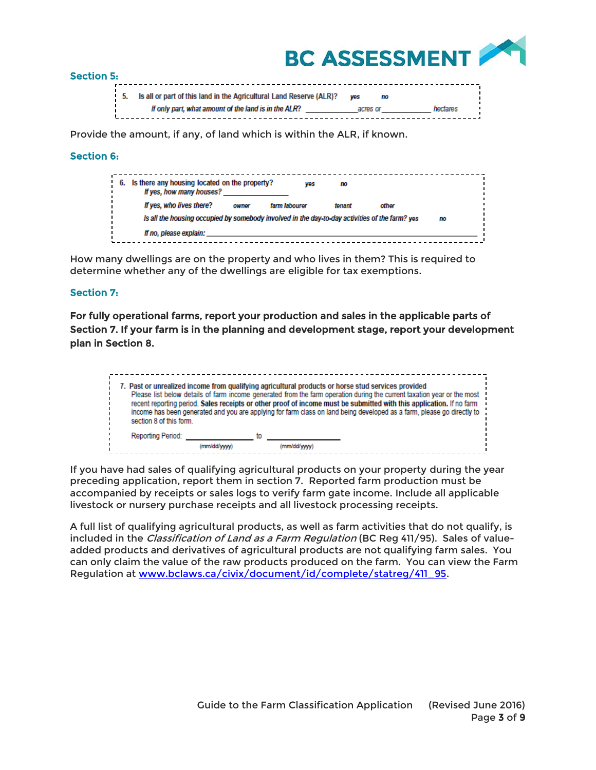

#### Section 5:

| 5. Is all or part of this land in the Agricultural Land Reserve (ALR)? | <b>WPS</b> | no |          |  |
|------------------------------------------------------------------------|------------|----|----------|--|
|                                                                        |            |    |          |  |
| If only part, what amount of the land is in the ALR?                   | acres or   |    | hectares |  |
|                                                                        |            |    |          |  |

Provide the amount, if any, of land which is within the ALR, if known.

## Section 6:

| 6. | Is there any housing located on the property?<br>If yes, how many houses?                      |       | ves           | no     |       |    |  |
|----|------------------------------------------------------------------------------------------------|-------|---------------|--------|-------|----|--|
|    | If yes, who lives there?                                                                       | owner | farm labourer | tenant | other |    |  |
|    | Is all the housing occupied by somebody involved in the day-to-day activities of the farm? yes |       |               |        |       | mo |  |
|    | If no, please explain:                                                                         |       |               |        |       |    |  |

How many dwellings are on the property and who lives in them? This is required to determine whether any of the dwellings are eligible for tax exemptions.

## Section 7:

For fully operational farms, report your production and sales in the applicable parts of Section 7. If your farm is in the planning and development stage, report your development plan in Section 8.

| section 8 of this form. |             |                   | 7. Past or unrealized income from qualifying agricultural products or horse stud services provided<br>Please list below details of farm income generated from the farm operation during the current taxation year or the most<br>recent reporting period. Sales receipts or other proof of income must be submitted with this application. If no farm<br>income has been generated and you are applying for farm class on land being developed as a farm, please go directly to |  |
|-------------------------|-------------|-------------------|---------------------------------------------------------------------------------------------------------------------------------------------------------------------------------------------------------------------------------------------------------------------------------------------------------------------------------------------------------------------------------------------------------------------------------------------------------------------------------|--|
| Reporting Period:       | (mm/dd/www) | tο<br>(mm/dd/wwv) |                                                                                                                                                                                                                                                                                                                                                                                                                                                                                 |  |

If you have had sales of qualifying agricultural products on your property during the year preceding application, report them in section 7. Reported farm production must be accompanied by receipts or sales logs to verify farm gate income. Include all applicable livestock or nursery purchase receipts and all livestock processing receipts.

A full list of qualifying agricultural products, as well as farm activities that do not qualify, is included in the Classification of Land as a Farm Regulation (BC Reg 411/95). Sales of valueadded products and derivatives of agricultural products are not qualifying farm sales. You can only claim the value of the raw products produced on the farm. You can view the Farm Regulation at [www.bclaws.ca/civix/document/id/complete/statreg/411\\_95.](http://www.bclaws.ca/civix/document/id/complete/statreg/411_95)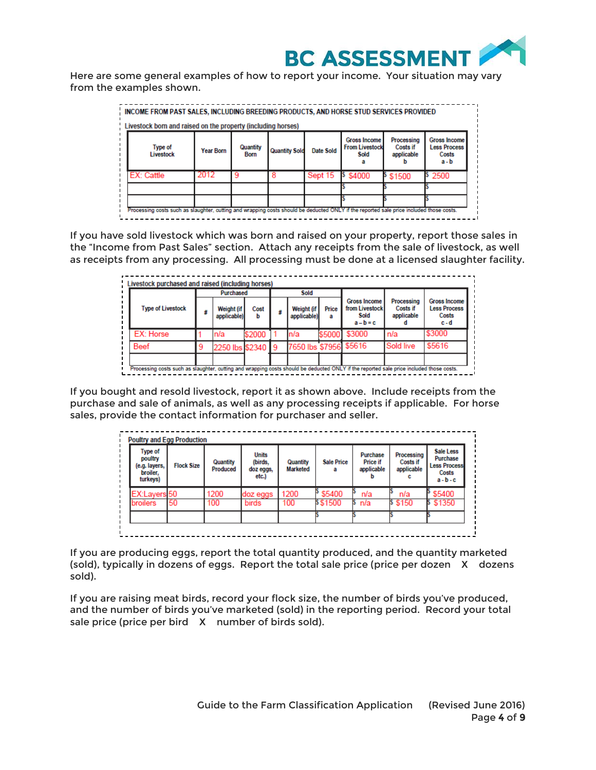

Here are some general examples of how to report your income. Your situation may vary from the examples shown.

| Livestock born and raised on the property (including horses) |                  |                  |                      |                  |                                                      |                                             |                                                         |
|--------------------------------------------------------------|------------------|------------------|----------------------|------------------|------------------------------------------------------|---------------------------------------------|---------------------------------------------------------|
| <b>Type of</b><br><b>Livestock</b>                           | <b>Year Born</b> | Quantity<br>Born | <b>Quantity Sold</b> | <b>Date Sold</b> | <b>Gross Income</b><br><b>From Livestock</b><br>Sold | Processing<br><b>Costs if</b><br>applicable | Gross Income<br><b>Less Process</b><br>Costs<br>$a - b$ |
| EX: Cattle                                                   | 2012             | -9               |                      | Sept 15          | \$ \$4000                                            | \$1500                                      | 2500                                                    |
|                                                              |                  |                  |                      |                  |                                                      |                                             |                                                         |
|                                                              |                  |                  |                      |                  |                                                      |                                             |                                                         |

If you have sold livestock which was born and raised on your property, report those sales in the "Income from Past Sales" section. Attach any receipts from the sale of livestock, as well as receipts from any processing. All processing must be done at a licensed slaughter facility.

| <b>Type of Livestock</b> |   |                           |           |                           |            |                                                              |                                      |                                                            |
|--------------------------|---|---------------------------|-----------|---------------------------|------------|--------------------------------------------------------------|--------------------------------------|------------------------------------------------------------|
|                          | s | Weight (if<br>applicable) | Cost<br>h | Weight (if<br>applicable) | Price<br>а | <b>Gross Income</b><br>from Livestock<br>Sold<br>$a - b = c$ | Processing<br>Costs if<br>applicable | <b>Gross Income</b><br><b>Less Process</b><br>Costs<br>c-d |
| EX: Horse                |   | n/a                       | \$2000    | n/a                       | \$5000     | \$3000                                                       | n/a                                  | \$3000                                                     |
| Beef                     |   | 2250 lbs \$2340 9         |           | 7650 lbs \$7956 \$5616    |            |                                                              | <b>Sold live</b>                     | \$5616                                                     |

If you bought and resold livestock, report it as shown above. Include receipts from the purchase and sale of animals, as well as any processing receipts if applicable. For horse sales, provide the contact information for purchaser and seller.

| Type of<br>poultry<br>(e.g. layers,<br>broiler.<br>turkeys) | <b>Flock Size</b> | Quantity<br><b>Produced</b> | <b>Units</b><br>(birds,<br>doz eggs,<br>etc.) | Quantity<br><b>Marketed</b> | <b>Sale Price</b> | <b>Purchase</b><br><b>Price if</b><br>applicable | Processing<br>Costs if<br>applicable | <b>Sale Less</b><br>Purchase<br><b>Less Process</b><br>Costs<br>$a - b - c$ |
|-------------------------------------------------------------|-------------------|-----------------------------|-----------------------------------------------|-----------------------------|-------------------|--------------------------------------------------|--------------------------------------|-----------------------------------------------------------------------------|
| EX:Layers 50                                                |                   | 1200                        | doz eggs                                      | 1200                        | \$5400            | n/a                                              | n/a                                  | \$5400                                                                      |
| <b>broilers</b>                                             | 50                | 100                         | birds                                         | 100                         | \$\$1500          | n/a                                              | \$ \$150                             | \$1350                                                                      |
|                                                             |                   |                             |                                               |                             |                   |                                                  |                                      |                                                                             |

If you are producing eggs, report the total quantity produced, and the quantity marketed (sold), typically in dozens of eggs. Report the total sale price (price per dozen X dozens sold).

If you are raising meat birds, record your flock size, the number of birds you've produced, and the number of birds you've marketed (sold) in the reporting period. Record your total sale price (price per bird X number of birds sold).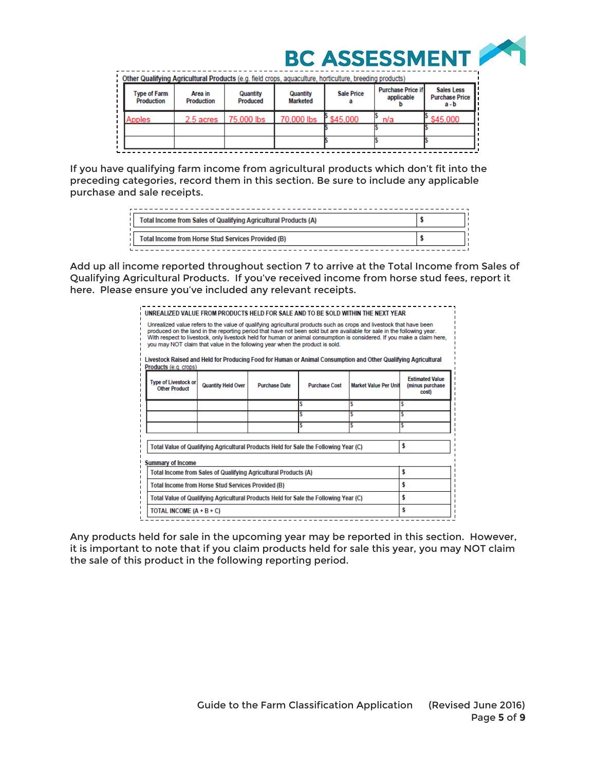

Other Qualifying Agricultural Products (e.g. field crops, aquaculture, horticulture, breeding products) Purchase Price if **Sales Less** Type of Farm **Sale Price** Area in Quantity Quantity applicable **Purchase Price** Production Produced Marketed Production a ь  $a - b$ 2.5 acres 70,000 lbs \$45,000 75.000 lbs nnr  $n/a$ nnles

If you have qualifying farm income from agricultural products which don't fit into the preceding categories, record them in this section. Be sure to include any applicable purchase and sale receipts.

| Total Income from Sales of Qualifying Agricultural Products (A) |  |
|-----------------------------------------------------------------|--|
| Total Income from Horse Stud Services Provided (B)              |  |

Add up all income reported throughout section 7 to arrive at the Total Income from Sales of Qualifying Agricultural Products. If you've received income from horse stud fees, report it here. Please ensure you've included any relevant receipts.

|                                                                              |                                                                                      |                      |                      | UNREALIZED VALUE FROM PRODUCTS HELD FOR SALE AND TO BE SOLD WITHIN THE NEXT YEAR.                                                                                                                                                                                                                                                                                        |                                                    |
|------------------------------------------------------------------------------|--------------------------------------------------------------------------------------|----------------------|----------------------|--------------------------------------------------------------------------------------------------------------------------------------------------------------------------------------------------------------------------------------------------------------------------------------------------------------------------------------------------------------------------|----------------------------------------------------|
| you may NOT claim that value in the following year when the product is sold. |                                                                                      |                      |                      | Unrealized value refers to the value of qualifying agricultural products such as crops and livestock that have been<br>produced on the land in the reporting period that have not been sold but are available for sale in the following year.<br>With respect to livestock, only livestock held for human or animal consumption is considered. If you make a claim here, |                                                    |
| Products (e.g. crops)                                                        |                                                                                      |                      |                      | Livestock Raised and Held for Producing Food for Human or Animal Consumption and Other Qualifying Agricultural                                                                                                                                                                                                                                                           |                                                    |
| <b>Type of Livestock or</b><br><b>Other Product</b>                          | <b>Quantity Held Over</b>                                                            | <b>Purchase Date</b> | <b>Purchase Cost</b> | <b>Market Value Per Unit</b>                                                                                                                                                                                                                                                                                                                                             | <b>Fstimated Value</b><br>(minus purchase<br>cost) |
|                                                                              |                                                                                      |                      |                      | s                                                                                                                                                                                                                                                                                                                                                                        | ¢                                                  |
|                                                                              |                                                                                      |                      |                      |                                                                                                                                                                                                                                                                                                                                                                          |                                                    |
|                                                                              |                                                                                      |                      |                      |                                                                                                                                                                                                                                                                                                                                                                          | Ś                                                  |
|                                                                              | Total Value of Qualifying Agricultural Products Held for Sale the Following Year (C) |                      |                      |                                                                                                                                                                                                                                                                                                                                                                          | s                                                  |
| <b>Summary of Income</b>                                                     |                                                                                      |                      |                      |                                                                                                                                                                                                                                                                                                                                                                          |                                                    |
|                                                                              | Total Income from Sales of Qualifying Agricultural Products (A)                      |                      |                      |                                                                                                                                                                                                                                                                                                                                                                          | \$                                                 |
|                                                                              | <b>Total Income from Horse Stud Services Provided (B)</b>                            |                      |                      |                                                                                                                                                                                                                                                                                                                                                                          | s                                                  |
|                                                                              | Total Value of Qualifying Agricultural Products Held for Sale the Following Year (C) |                      |                      |                                                                                                                                                                                                                                                                                                                                                                          | s                                                  |
|                                                                              |                                                                                      |                      |                      |                                                                                                                                                                                                                                                                                                                                                                          |                                                    |

Any products held for sale in the upcoming year may be reported in this section. However, it is important to note that if you claim products held for sale this year, you may NOT claim the sale of this product in the following reporting period.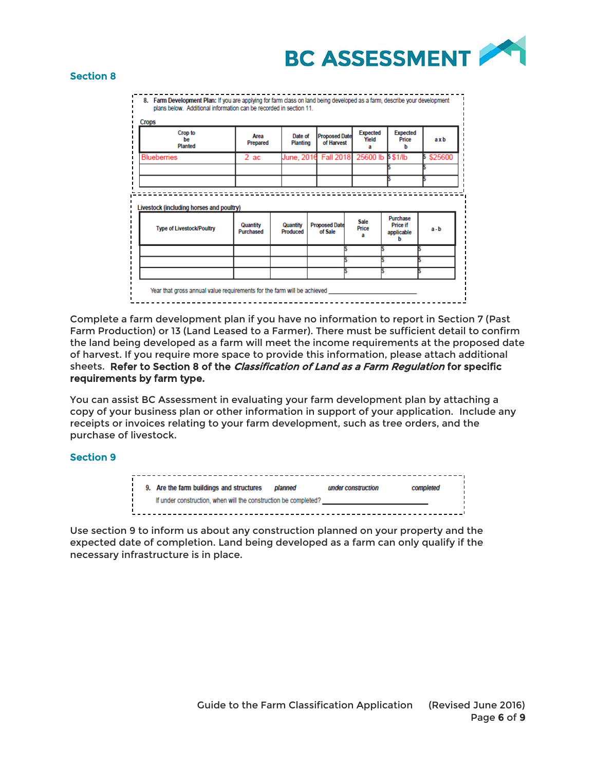

#### Section 8

8. Farm Development Plan: If you are applying for farm class on land being developed as a farm, describe your development plans below. Additional information can be recorded in section 11.

| Crop to<br><b>be</b><br>Planted                                              | Area<br>Prepared | Date of<br><b>Planting</b> | <b>Proposed Date</b><br>of Harvest | <b>Expected</b><br>Yield<br>а | <b>Expected</b><br>Price<br>b | axb     |
|------------------------------------------------------------------------------|------------------|----------------------------|------------------------------------|-------------------------------|-------------------------------|---------|
| <b>Blueberries</b>                                                           | 2ac              |                            | June, 2016 Fall 2018               | 25600 lb \$\$1/lb             |                               | \$25600 |
|                                                                              |                  |                            |                                    |                               |                               |         |
|                                                                              |                  |                            |                                    |                               |                               |         |
|                                                                              | Quantity         | Quantity                   | <b>Proposed Date</b>               | Sale                          | Purchase<br><b>Price if</b>   |         |
| Livestock (including horses and poultry)<br><b>Type of Livestock/Poultry</b> | <b>Purchased</b> | Produced                   | of Sale                            | Price<br>a                    | applicable<br>h               | a-b     |
|                                                                              |                  |                            |                                    |                               |                               |         |
|                                                                              |                  |                            |                                    |                               |                               |         |

Complete a farm development plan if you have no information to report in Section 7 (Past Farm Production) or 13 (Land Leased to a Farmer). There must be sufficient detail to confirm the land being developed as a farm will meet the income requirements at the proposed date of harvest. If you require more space to provide this information, please attach additional sheets. Refer to Section 8 of the Classification of Land as a Farm Regulation for specific requirements by farm type.

You can assist BC Assessment in evaluating your farm development plan by attaching a copy of your business plan or other information in support of your application. Include any receipts or invoices relating to your farm development, such as tree orders, and the purchase of livestock.

## Section 9



Use section 9 to inform us about any construction planned on your property and the expected date of completion. Land being developed as a farm can only qualify if the necessary infrastructure is in place.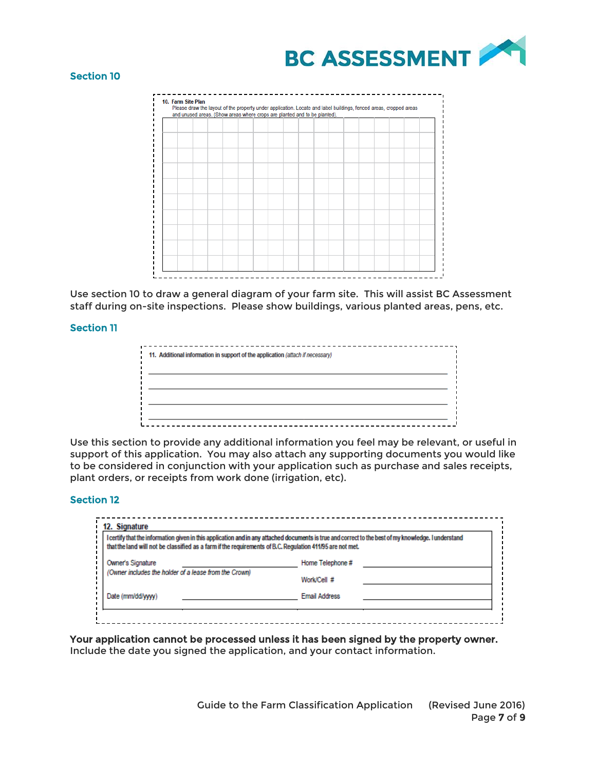

## Section 10

|  |  |  |  | and unused areas. (Show areas where crops are planted and to be planted). |  |  |  |  |
|--|--|--|--|---------------------------------------------------------------------------|--|--|--|--|
|  |  |  |  |                                                                           |  |  |  |  |
|  |  |  |  |                                                                           |  |  |  |  |
|  |  |  |  |                                                                           |  |  |  |  |
|  |  |  |  |                                                                           |  |  |  |  |
|  |  |  |  |                                                                           |  |  |  |  |
|  |  |  |  |                                                                           |  |  |  |  |
|  |  |  |  |                                                                           |  |  |  |  |
|  |  |  |  |                                                                           |  |  |  |  |
|  |  |  |  |                                                                           |  |  |  |  |
|  |  |  |  |                                                                           |  |  |  |  |
|  |  |  |  |                                                                           |  |  |  |  |
|  |  |  |  |                                                                           |  |  |  |  |
|  |  |  |  |                                                                           |  |  |  |  |
|  |  |  |  |                                                                           |  |  |  |  |
|  |  |  |  |                                                                           |  |  |  |  |
|  |  |  |  |                                                                           |  |  |  |  |
|  |  |  |  |                                                                           |  |  |  |  |
|  |  |  |  |                                                                           |  |  |  |  |
|  |  |  |  |                                                                           |  |  |  |  |
|  |  |  |  |                                                                           |  |  |  |  |

Use section 10 to draw a general diagram of your farm site. This will assist BC Assessment staff during on-site inspections. Please show buildings, various planted areas, pens, etc.

## Section 11

| 11. Additional information in support of the application (attach if necessary) |  |
|--------------------------------------------------------------------------------|--|
|                                                                                |  |
|                                                                                |  |
|                                                                                |  |
|                                                                                |  |
|                                                                                |  |

Use this section to provide any additional information you feel may be relevant, or useful in support of this application. You may also attach any supporting documents you would like to be considered in conjunction with your application such as purchase and sales receipts, plant orders, or receipts from work done (irrigation, etc).

## Section 12

| that the land will not be classified as a farm if the requirements of B.C. Regulation 411/95 are not met. | I certify that the information given in this application and in any attached documents is true and correct to the best of my knowledge. I understand |
|-----------------------------------------------------------------------------------------------------------|------------------------------------------------------------------------------------------------------------------------------------------------------|
| Owner's Signature                                                                                         | Home Telephone #                                                                                                                                     |
| (Owner includes the holder of a lease from the Crown)                                                     | Work/Cell #                                                                                                                                          |
| Date (mm/dd/wwv)                                                                                          | <b>Email Address</b>                                                                                                                                 |

Your application cannot be processed unless it has been signed by the property owner. Include the date you signed the application, and your contact information.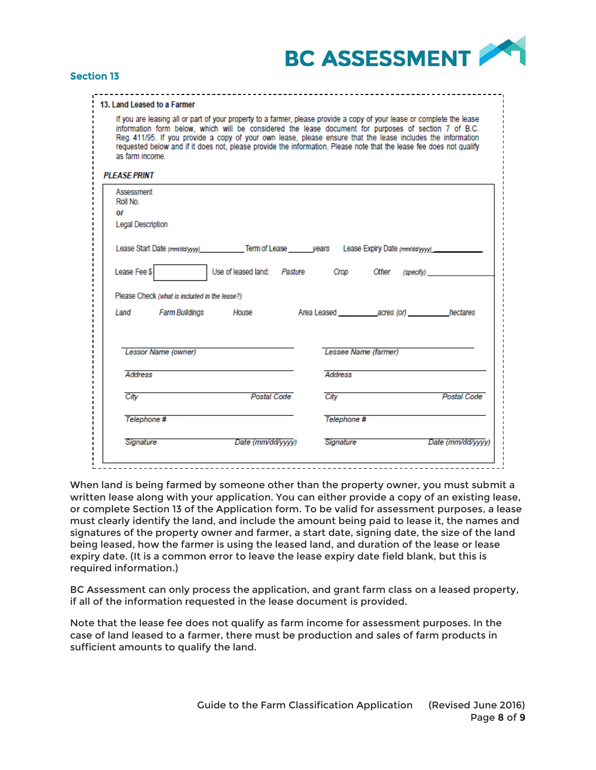

# Section 13

| 13. Land Leased to a Farmer |  |  |  |
|-----------------------------|--|--|--|

If you are leasing all or part of your property to a farmer, please provide a copy of your lease or complete the lease information form below, which will be considered the lease document for purposes of section 7 of B.C. Reg. 411/95. If you provide a copy of your own lease, please ensure that the lease includes the information requested below and if it does not, please provide the information. Please note that the lease fee does not qualify as farm income.

#### **PI FASE PRINT**

| Assessment<br>Roll No.                        |                                                                                                               |                |                                                  |             |
|-----------------------------------------------|---------------------------------------------------------------------------------------------------------------|----------------|--------------------------------------------------|-------------|
| ΟF                                            |                                                                                                               |                |                                                  |             |
| Legal Description                             |                                                                                                               |                |                                                  |             |
|                                               | Lease Start Date (mm/dd/yyy) ____________Term of Lease _______years Lease Expiry Date (mm/dd/yyyy) __________ |                |                                                  |             |
| Lease Fee \$                                  |                                                                                                               |                | Use of leased land: Pasture Crop Other (specify) |             |
| Please Check (what is included in the lease?) |                                                                                                               |                |                                                  |             |
|                                               | Land Farm Buildings House                                                                                     |                |                                                  |             |
| Lessor Name (owner)                           |                                                                                                               |                | Lessee Name (farmer)                             |             |
| <b>Address</b>                                |                                                                                                               | <b>Address</b> |                                                  |             |
| City                                          | Postal Code                                                                                                   | City           |                                                  | Postal Code |
|                                               |                                                                                                               |                |                                                  |             |
| Telephone #                                   |                                                                                                               |                | Telephone #                                      |             |

When land is being farmed by someone other than the property owner, you must submit a written lease along with your application. You can either provide a copy of an existing lease, or complete Section 13 of the Application form. To be valid for assessment purposes, a lease must clearly identify the land, and include the amount being paid to lease it, the names and signatures of the property owner and farmer, a start date, signing date, the size of the land being leased, how the farmer is using the leased land, and duration of the lease or lease expiry date. (It is a common error to leave the lease expiry date field blank, but this is required information.)

BC Assessment can only process the application, and grant farm class on a leased property, if all of the information requested in the lease document is provided.

Note that the lease fee does not qualify as farm income for assessment purposes. In the case of land leased to a farmer, there must be production and sales of farm products in sufficient amounts to qualify the land.